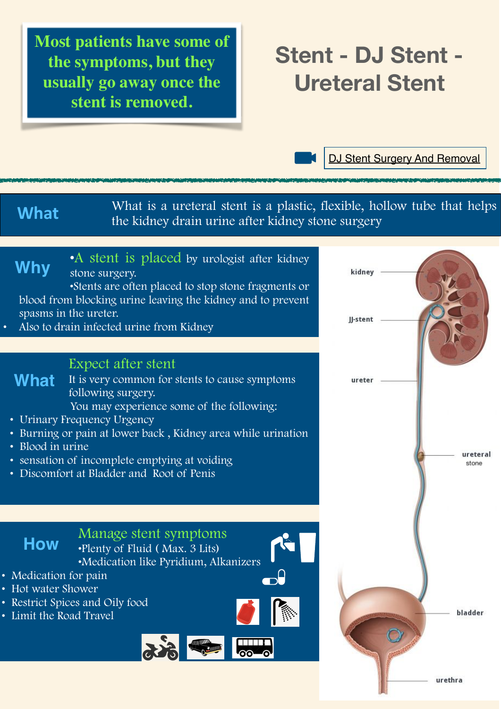**Most patients have some of the symptoms, but they usually go away once the stent is removed.** 

# **Stent - DJ Stent - Ureteral Stent**

[DJ Stent Surgery And Removal](https://www.youtube.com/watch?v=xbQETijGamc)

What is a ureteral stent is a plastic, flexible, hollow tube that helps the kidney drain urine after kidney stone surgery

# **Why**

•A stent is placed by urologist after kidney stone surgery.

•Stents are often placed to stop stone fragments or blood from blocking urine leaving the kidney and to prevent spasms in the ureter.

• Also to drain infected urine from Kidney

#### Expect after stent

It is very common for stents to cause symptoms following surgery. **What**

You may experience some of the following:

- Urinary Frequency Urgency
- Burning or pain at lower back , Kidney area while urination
- Blood in urine
- sensation of incomplete emptying at voiding
- Discomfort at Bladder and Root of Penis

### Manage stent symptoms •Plenty of Fluid ( Max. 3 Lits)

•Medication like Pyridium, Alkanizers

ൈ

- Medication for pain
- Hot water Shower

**How**

- Restrict Spices and Oily food
- Limit the Road Travel

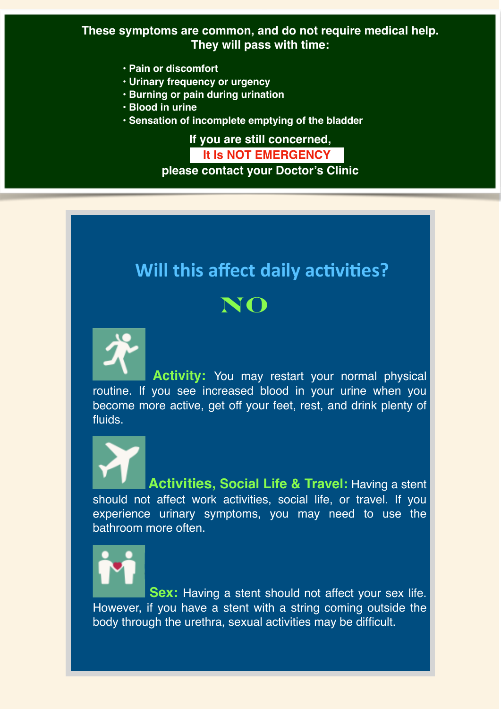#### **These symptoms are common, and do not require medical help. They will pass with time:**

- **Pain or discomfort**
- **Urinary frequency or urgency**
- **Burning or pain during urination**
- **Blood in urine**
- **Sensation of incomplete emptying of the bladder**

**If you are still concerned, It Is NOT EMERGENCY** 

**please contact your Doctor's Clinic**

# **Will this affect daily activities?**



 **Activity:** You may restart your normal physical routine. If you see increased blood in your urine when you become more active, get off your feet, rest, and drink plenty of fluids.

 **Activities, Social Life & Travel:** Having a stent should not affect work activities, social life, or travel. If you experience urinary symptoms, you may need to use the bathroom more often.

Sex: Having a stent should not affect your sex life. However, if you have a stent with a string coming outside the body through the urethra, sexual activities may be difficult.